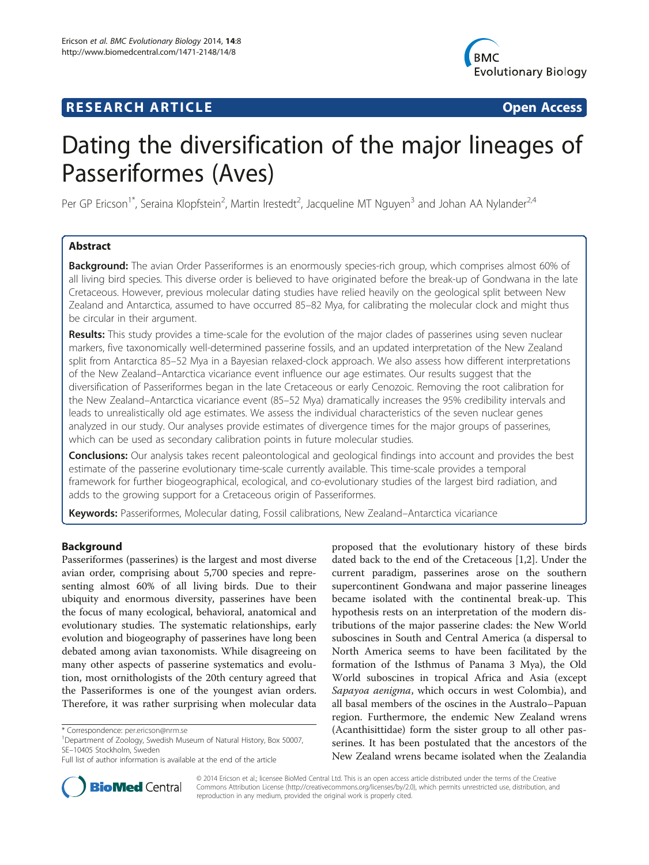# **RESEARCH ARTICLE Example 2018 12:00 Department of the CONNECTION CONNECTION CONNECTION CONNECTION**



# Dating the diversification of the major lineages of Passeriformes (Aves)

Per GP Ericson<sup>1\*</sup>, Seraina Klopfstein<sup>2</sup>, Martin Irestedt<sup>2</sup>, Jacqueline MT Nguyen<sup>3</sup> and Johan AA Nylander<sup>2,4</sup>

# Abstract

Background: The avian Order Passeriformes is an enormously species-rich group, which comprises almost 60% of all living bird species. This diverse order is believed to have originated before the break-up of Gondwana in the late Cretaceous. However, previous molecular dating studies have relied heavily on the geological split between New Zealand and Antarctica, assumed to have occurred 85–82 Mya, for calibrating the molecular clock and might thus be circular in their argument.

Results: This study provides a time-scale for the evolution of the major clades of passerines using seven nuclear markers, five taxonomically well-determined passerine fossils, and an updated interpretation of the New Zealand split from Antarctica 85–52 Mya in a Bayesian relaxed-clock approach. We also assess how different interpretations of the New Zealand–Antarctica vicariance event influence our age estimates. Our results suggest that the diversification of Passeriformes began in the late Cretaceous or early Cenozoic. Removing the root calibration for the New Zealand–Antarctica vicariance event (85–52 Mya) dramatically increases the 95% credibility intervals and leads to unrealistically old age estimates. We assess the individual characteristics of the seven nuclear genes analyzed in our study. Our analyses provide estimates of divergence times for the major groups of passerines, which can be used as secondary calibration points in future molecular studies.

**Conclusions:** Our analysis takes recent paleontological and geological findings into account and provides the best estimate of the passerine evolutionary time-scale currently available. This time-scale provides a temporal framework for further biogeographical, ecological, and co-evolutionary studies of the largest bird radiation, and adds to the growing support for a Cretaceous origin of Passeriformes.

Keywords: Passeriformes, Molecular dating, Fossil calibrations, New Zealand–Antarctica vicariance

# Background

Passeriformes (passerines) is the largest and most diverse avian order, comprising about 5,700 species and representing almost 60% of all living birds. Due to their ubiquity and enormous diversity, passerines have been the focus of many ecological, behavioral, anatomical and evolutionary studies. The systematic relationships, early evolution and biogeography of passerines have long been debated among avian taxonomists. While disagreeing on many other aspects of passerine systematics and evolution, most ornithologists of the 20th century agreed that the Passeriformes is one of the youngest avian orders. Therefore, it was rather surprising when molecular data

proposed that the evolutionary history of these birds dated back to the end of the Cretaceous [\[1,2](#page-12-0)]. Under the current paradigm, passerines arose on the southern supercontinent Gondwana and major passerine lineages became isolated with the continental break-up. This hypothesis rests on an interpretation of the modern distributions of the major passerine clades: the New World suboscines in South and Central America (a dispersal to North America seems to have been facilitated by the formation of the Isthmus of Panama 3 Mya), the Old World suboscines in tropical Africa and Asia (except Sapayoa aenigma, which occurs in west Colombia), and all basal members of the oscines in the Australo–Papuan region. Furthermore, the endemic New Zealand wrens (Acanthisittidae) form the sister group to all other passerines. It has been postulated that the ancestors of the New Zealand wrens became isolated when the Zealandia



© 2014 Ericson et al.; licensee BioMed Central Ltd. This is an open access article distributed under the terms of the Creative Commons Attribution License [\(http://creativecommons.org/licenses/by/2.0\)](http://creativecommons.org/licenses/by/2.0), which permits unrestricted use, distribution, and reproduction in any medium, provided the original work is properly cited.

<sup>\*</sup> Correspondence: [per.ericson@nrm.se](mailto:per.ericson@nrm.se) <sup>1</sup>

<sup>&</sup>lt;sup>1</sup>Department of Zoology, Swedish Museum of Natural History, Box 50007, SE–10405 Stockholm, Sweden

Full list of author information is available at the end of the article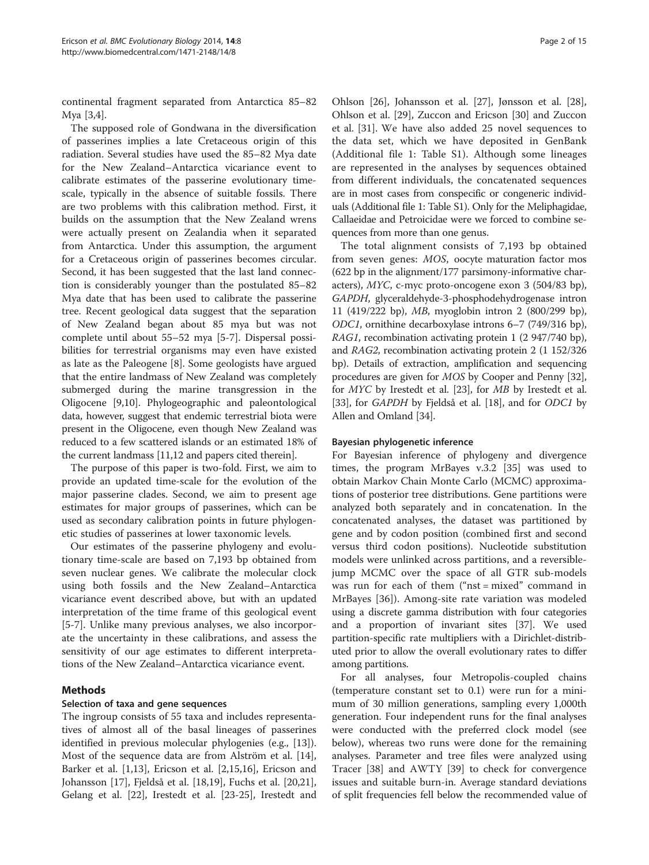<span id="page-1-0"></span>continental fragment separated from Antarctica 85–82 Mya [[3,4\]](#page-12-0).

The supposed role of Gondwana in the diversification of passerines implies a late Cretaceous origin of this radiation. Several studies have used the 85–82 Mya date for the New Zealand–Antarctica vicariance event to calibrate estimates of the passerine evolutionary timescale, typically in the absence of suitable fossils. There are two problems with this calibration method. First, it builds on the assumption that the New Zealand wrens were actually present on Zealandia when it separated from Antarctica. Under this assumption, the argument for a Cretaceous origin of passerines becomes circular. Second, it has been suggested that the last land connection is considerably younger than the postulated 85–82 Mya date that has been used to calibrate the passerine tree. Recent geological data suggest that the separation of New Zealand began about 85 mya but was not complete until about 55–52 mya [\[5](#page-12-0)-[7\]](#page-12-0). Dispersal possibilities for terrestrial organisms may even have existed as late as the Paleogene [[8](#page-12-0)]. Some geologists have argued that the entire landmass of New Zealand was completely submerged during the marine transgression in the Oligocene [[9,10\]](#page-12-0). Phylogeographic and paleontological data, however, suggest that endemic terrestrial biota were present in the Oligocene, even though New Zealand was reduced to a few scattered islands or an estimated 18% of the current landmass [\[11,12](#page-12-0) and papers cited therein].

The purpose of this paper is two-fold. First, we aim to provide an updated time-scale for the evolution of the major passerine clades. Second, we aim to present age estimates for major groups of passerines, which can be used as secondary calibration points in future phylogenetic studies of passerines at lower taxonomic levels.

Our estimates of the passerine phylogeny and evolutionary time-scale are based on 7,193 bp obtained from seven nuclear genes. We calibrate the molecular clock using both fossils and the New Zealand–Antarctica vicariance event described above, but with an updated interpretation of the time frame of this geological event [[5-7](#page-12-0)]. Unlike many previous analyses, we also incorporate the uncertainty in these calibrations, and assess the sensitivity of our age estimates to different interpretations of the New Zealand–Antarctica vicariance event.

# Methods

# Selection of taxa and gene sequences

The ingroup consists of 55 taxa and includes representatives of almost all of the basal lineages of passerines identified in previous molecular phylogenies (e.g., [\[13](#page-12-0)]). Most of the sequence data are from Alström et al. [\[14](#page-12-0)], Barker et al. [\[1,13](#page-12-0)], Ericson et al. [\[2,15,16\]](#page-12-0), Ericson and Johansson [\[17](#page-12-0)], Fjeldså et al. [[18,19\]](#page-12-0), Fuchs et al. [\[20,21](#page-12-0)], Gelang et al. [\[22\]](#page-12-0), Irestedt et al. [[23-25](#page-12-0)], Irestedt and

Ohlson [\[26](#page-12-0)], Johansson et al. [[27\]](#page-12-0), Jønsson et al. [\[28](#page-12-0)], Ohlson et al. [[29\]](#page-12-0), Zuccon and Ericson [[30\]](#page-12-0) and Zuccon et al. [[31](#page-12-0)]. We have also added 25 novel sequences to the data set, which we have deposited in GenBank (Additional file [1:](#page-11-0) Table S1). Although some lineages are represented in the analyses by sequences obtained from different individuals, the concatenated sequences are in most cases from conspecific or congeneric individuals (Additional file [1](#page-11-0): Table S1). Only for the Meliphagidae, Callaeidae and Petroicidae were we forced to combine sequences from more than one genus.

The total alignment consists of 7,193 bp obtained from seven genes: MOS, oocyte maturation factor mos (622 bp in the alignment/177 parsimony-informative characters), MYC, c-myc proto-oncogene exon 3 (504/83 bp), GAPDH, glyceraldehyde-3-phosphodehydrogenase intron 11 (419/222 bp), MB, myoglobin intron 2 (800/299 bp), ODC1, ornithine decarboxylase introns 6–7 (749/316 bp), RAG1, recombination activating protein 1 (2 947/740 bp), and RAG2, recombination activating protein 2 (1 152/326 bp). Details of extraction, amplification and sequencing procedures are given for MOS by Cooper and Penny [[32](#page-12-0)], for MYC by Irestedt et al. [\[23\]](#page-12-0), for MB by Irestedt et al. [[33](#page-12-0)], for GAPDH by Fjeldså et al. [\[18\]](#page-12-0), and for ODC1 by Allen and Omland [[34](#page-12-0)].

# Bayesian phylogenetic inference

For Bayesian inference of phylogeny and divergence times, the program MrBayes v.3.2 [\[35\]](#page-12-0) was used to obtain Markov Chain Monte Carlo (MCMC) approximations of posterior tree distributions. Gene partitions were analyzed both separately and in concatenation. In the concatenated analyses, the dataset was partitioned by gene and by codon position (combined first and second versus third codon positions). Nucleotide substitution models were unlinked across partitions, and a reversiblejump MCMC over the space of all GTR sub-models was run for each of them ("nst = mixed" command in MrBayes [\[36](#page-12-0)]). Among-site rate variation was modeled using a discrete gamma distribution with four categories and a proportion of invariant sites [\[37\]](#page-12-0). We used partition-specific rate multipliers with a Dirichlet-distributed prior to allow the overall evolutionary rates to differ among partitions.

For all analyses, four Metropolis-coupled chains (temperature constant set to 0.1) were run for a minimum of 30 million generations, sampling every 1,000th generation. Four independent runs for the final analyses were conducted with the preferred clock model (see below), whereas two runs were done for the remaining analyses. Parameter and tree files were analyzed using Tracer [\[38](#page-13-0)] and AWTY [[39](#page-13-0)] to check for convergence issues and suitable burn-in. Average standard deviations of split frequencies fell below the recommended value of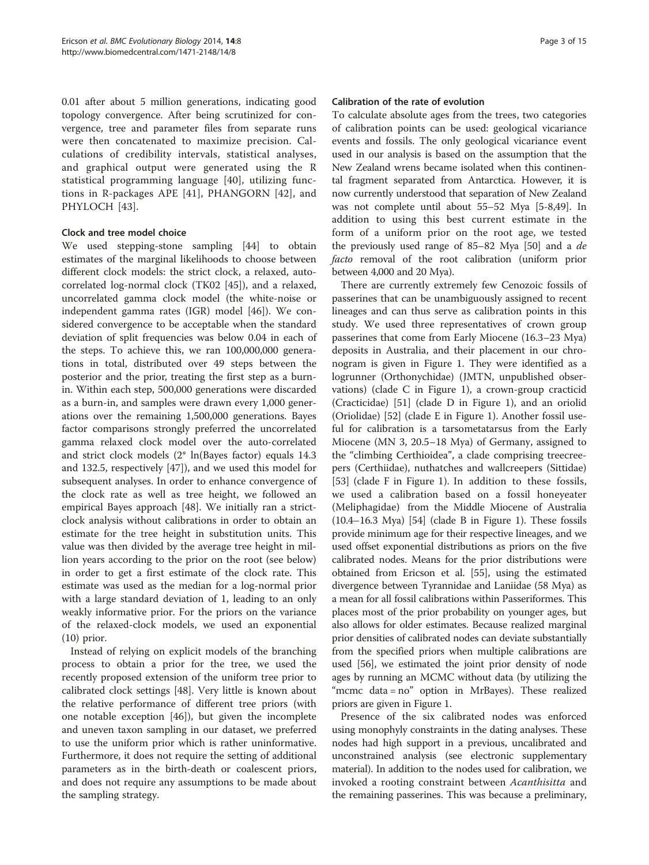0.01 after about 5 million generations, indicating good topology convergence. After being scrutinized for convergence, tree and parameter files from separate runs were then concatenated to maximize precision. Calculations of credibility intervals, statistical analyses, and graphical output were generated using the R statistical programming language [[40\]](#page-13-0), utilizing functions in R-packages APE [[41](#page-13-0)], PHANGORN [\[42\]](#page-13-0), and PHYLOCH [[43\]](#page-13-0).

# Clock and tree model choice

We used stepping-stone sampling [[44](#page-13-0)] to obtain estimates of the marginal likelihoods to choose between different clock models: the strict clock, a relaxed, autocorrelated log-normal clock (TK02 [\[45](#page-13-0)]), and a relaxed, uncorrelated gamma clock model (the white-noise or independent gamma rates (IGR) model [\[46](#page-13-0)]). We considered convergence to be acceptable when the standard deviation of split frequencies was below 0.04 in each of the steps. To achieve this, we ran 100,000,000 generations in total, distributed over 49 steps between the posterior and the prior, treating the first step as a burnin. Within each step, 500,000 generations were discarded as a burn-in, and samples were drawn every 1,000 generations over the remaining 1,500,000 generations. Bayes factor comparisons strongly preferred the uncorrelated gamma relaxed clock model over the auto-correlated and strict clock models (2\* ln(Bayes factor) equals 14.3 and 132.5, respectively [\[47\]](#page-13-0)), and we used this model for subsequent analyses. In order to enhance convergence of the clock rate as well as tree height, we followed an empirical Bayes approach [[48\]](#page-13-0). We initially ran a strictclock analysis without calibrations in order to obtain an estimate for the tree height in substitution units. This value was then divided by the average tree height in million years according to the prior on the root (see below) in order to get a first estimate of the clock rate. This estimate was used as the median for a log-normal prior with a large standard deviation of 1, leading to an only weakly informative prior. For the priors on the variance of the relaxed-clock models, we used an exponential (10) prior.

Instead of relying on explicit models of the branching process to obtain a prior for the tree, we used the recently proposed extension of the uniform tree prior to calibrated clock settings [[48\]](#page-13-0). Very little is known about the relative performance of different tree priors (with one notable exception [\[46\]](#page-13-0)), but given the incomplete and uneven taxon sampling in our dataset, we preferred to use the uniform prior which is rather uninformative. Furthermore, it does not require the setting of additional parameters as in the birth-death or coalescent priors, and does not require any assumptions to be made about the sampling strategy.

#### Calibration of the rate of evolution

To calculate absolute ages from the trees, two categories of calibration points can be used: geological vicariance events and fossils. The only geological vicariance event used in our analysis is based on the assumption that the New Zealand wrens became isolated when this continental fragment separated from Antarctica. However, it is now currently understood that separation of New Zealand was not complete until about 55–52 Mya [[5-8,](#page-12-0)[49](#page-13-0)]. In addition to using this best current estimate in the form of a uniform prior on the root age, we tested the previously used range of 85–82 Mya [[50\]](#page-13-0) and a de facto removal of the root calibration (uniform prior between 4,000 and 20 Mya).

There are currently extremely few Cenozoic fossils of passerines that can be unambiguously assigned to recent lineages and can thus serve as calibration points in this study. We used three representatives of crown group passerines that come from Early Miocene (16.3–23 Mya) deposits in Australia, and their placement in our chronogram is given in Figure [1](#page-4-0). They were identified as a logrunner (Orthonychidae) (JMTN, unpublished observations) (clade C in Figure [1\)](#page-4-0), a crown-group cracticid (Cracticidae) [\[51](#page-13-0)] (clade D in Figure [1\)](#page-4-0), and an oriolid (Oriolidae) [\[52](#page-13-0)] (clade E in Figure [1](#page-4-0)). Another fossil useful for calibration is a tarsometatarsus from the Early Miocene (MN 3, 20.5–18 Mya) of Germany, assigned to the "climbing Certhioidea", a clade comprising treecreepers (Certhiidae), nuthatches and wallcreepers (Sittidae) [[53\]](#page-13-0) (clade F in Figure [1](#page-4-0)). In addition to these fossils, we used a calibration based on a fossil honeyeater (Meliphagidae) from the Middle Miocene of Australia  $(10.4–16.3 \text{ Mya})$  [\[54\]](#page-13-0) (clade B in Figure [1\)](#page-4-0). These fossils provide minimum age for their respective lineages, and we used offset exponential distributions as priors on the five calibrated nodes. Means for the prior distributions were obtained from Ericson et al. [\[55\]](#page-13-0), using the estimated divergence between Tyrannidae and Laniidae (58 Mya) as a mean for all fossil calibrations within Passeriformes. This places most of the prior probability on younger ages, but also allows for older estimates. Because realized marginal prior densities of calibrated nodes can deviate substantially from the specified priors when multiple calibrations are used [[56](#page-13-0)], we estimated the joint prior density of node ages by running an MCMC without data (by utilizing the "mcmc data = no" option in MrBayes). These realized priors are given in Figure [1.](#page-4-0)

Presence of the six calibrated nodes was enforced using monophyly constraints in the dating analyses. These nodes had high support in a previous, uncalibrated and unconstrained analysis (see electronic supplementary material). In addition to the nodes used for calibration, we invoked a rooting constraint between Acanthisitta and the remaining passerines. This was because a preliminary,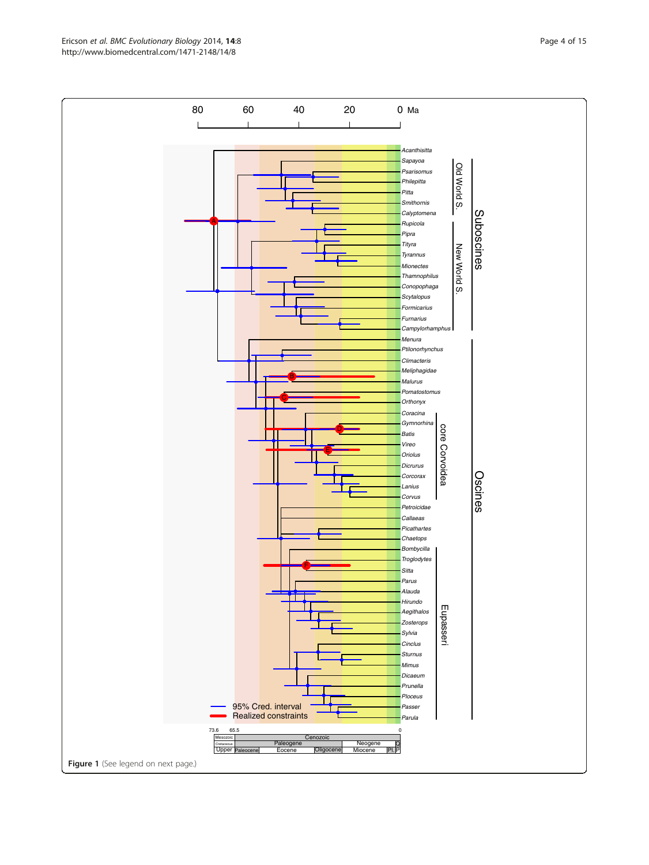Ericson et al. BMC Evolutionary Biology 2014, 14:8 extending the state of the Page 4 of 15 http://www.biomedcentral.com/1471-2148/14/8

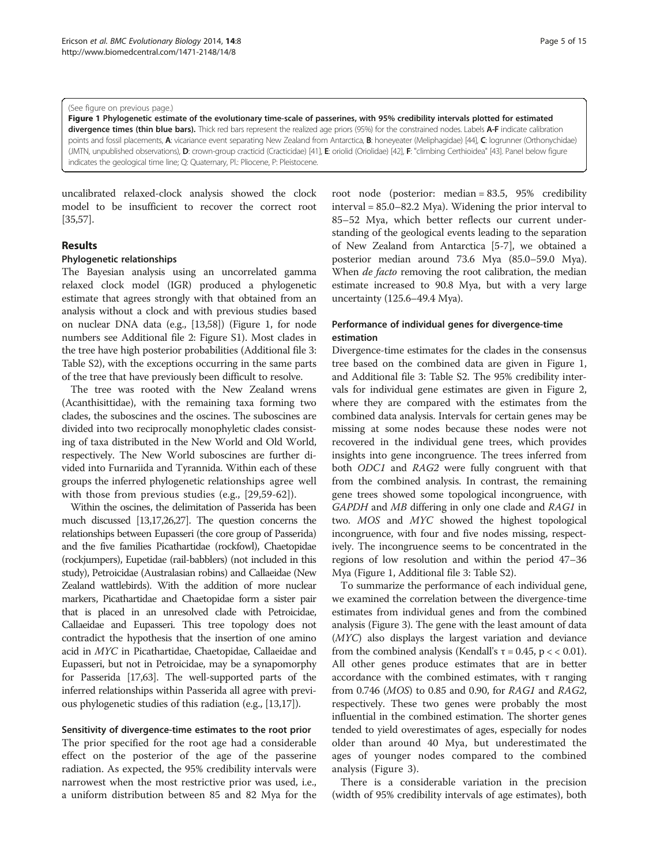#### <span id="page-4-0"></span>(See figure on previous page.)

Figure 1 Phylogenetic estimate of the evolutionary time-scale of passerines, with 95% credibility intervals plotted for estimated divergence times (thin blue bars). Thick red bars represent the realized age priors (95%) for the constrained nodes. Labels A-F indicate calibration points and fossil placements, A: vicariance event separating New Zealand from Antarctica, B: honeyeater (Meliphagidae) [\[44](#page-13-0)], C: logrunner (Orthonychidae) (JMTN, unpublished observations), D: crown-group cracticid (Cracticidae) [\[41\]](#page-13-0), E: oriolid (Oriolidae) [[42\]](#page-13-0), F: "climbing Certhioidea" [\[43\]](#page-13-0). Panel below figure indicates the geological time line; Q: Quaternary, Pl.: Pliocene, P: Pleistocene.

uncalibrated relaxed-clock analysis showed the clock model to be insufficient to recover the correct root [[35](#page-12-0)[,57](#page-13-0)].

#### Results

#### Phylogenetic relationships

The Bayesian analysis using an uncorrelated gamma relaxed clock model (IGR) produced a phylogenetic estimate that agrees strongly with that obtained from an analysis without a clock and with previous studies based on nuclear DNA data (e.g., [[13](#page-12-0)[,58\]](#page-13-0)) (Figure 1, for node numbers see Additional file [2:](#page-11-0) Figure S1). Most clades in the tree have high posterior probabilities (Additional file [3](#page-11-0): Table S2), with the exceptions occurring in the same parts of the tree that have previously been difficult to resolve.

The tree was rooted with the New Zealand wrens (Acanthisittidae), with the remaining taxa forming two clades, the suboscines and the oscines. The suboscines are divided into two reciprocally monophyletic clades consisting of taxa distributed in the New World and Old World, respectively. The New World suboscines are further divided into Furnariida and Tyrannida. Within each of these groups the inferred phylogenetic relationships agree well with those from previous studies (e.g., [[29,](#page-12-0)[59-62\]](#page-13-0)).

Within the oscines, the delimitation of Passerida has been much discussed [\[13,17,26,27](#page-12-0)]. The question concerns the relationships between Eupasseri (the core group of Passerida) and the five families Picathartidae (rockfowl), Chaetopidae (rockjumpers), Eupetidae (rail-babblers) (not included in this study), Petroicidae (Australasian robins) and Callaeidae (New Zealand wattlebirds). With the addition of more nuclear markers, Picathartidae and Chaetopidae form a sister pair that is placed in an unresolved clade with Petroicidae, Callaeidae and Eupasseri. This tree topology does not contradict the hypothesis that the insertion of one amino acid in MYC in Picathartidae, Chaetopidae, Callaeidae and Eupasseri, but not in Petroicidae, may be a synapomorphy for Passerida [[17](#page-12-0)[,63\]](#page-13-0). The well-supported parts of the inferred relationships within Passerida all agree with previous phylogenetic studies of this radiation (e.g., [[13,17\]](#page-12-0)).

## Sensitivity of divergence-time estimates to the root prior

The prior specified for the root age had a considerable effect on the posterior of the age of the passerine radiation. As expected, the 95% credibility intervals were narrowest when the most restrictive prior was used, i.e., a uniform distribution between 85 and 82 Mya for the

root node (posterior: median = 83.5, 95% credibility interval = 85.0–82.2 Mya). Widening the prior interval to 85–52 Mya, which better reflects our current understanding of the geological events leading to the separation of New Zealand from Antarctica [\[5-7](#page-12-0)], we obtained a posterior median around 73.6 Mya (85.0–59.0 Mya). When *de facto* removing the root calibration, the median estimate increased to 90.8 Mya, but with a very large uncertainty (125.6–49.4 Mya).

# Performance of individual genes for divergence-time estimation

Divergence-time estimates for the clades in the consensus tree based on the combined data are given in Figure 1, and Additional file [3:](#page-11-0) Table S2. The 95% credibility intervals for individual gene estimates are given in Figure [2](#page-5-0), where they are compared with the estimates from the combined data analysis. Intervals for certain genes may be missing at some nodes because these nodes were not recovered in the individual gene trees, which provides insights into gene incongruence. The trees inferred from both ODC1 and RAG2 were fully congruent with that from the combined analysis. In contrast, the remaining gene trees showed some topological incongruence, with GAPDH and MB differing in only one clade and RAG1 in two. MOS and MYC showed the highest topological incongruence, with four and five nodes missing, respectively. The incongruence seems to be concentrated in the regions of low resolution and within the period 47–36 Mya (Figure 1, Additional file [3:](#page-11-0) Table S2).

To summarize the performance of each individual gene, we examined the correlation between the divergence-time estimates from individual genes and from the combined analysis (Figure [3\)](#page-6-0). The gene with the least amount of data (MYC) also displays the largest variation and deviance from the combined analysis (Kendall's  $\tau$  = 0.45, p < < 0.01). All other genes produce estimates that are in better accordance with the combined estimates, with τ ranging from 0.746 (MOS) to 0.85 and 0.90, for RAG1 and RAG2, respectively. These two genes were probably the most influential in the combined estimation. The shorter genes tended to yield overestimates of ages, especially for nodes older than around 40 Mya, but underestimated the ages of younger nodes compared to the combined analysis (Figure [3](#page-6-0)).

There is a considerable variation in the precision (width of 95% credibility intervals of age estimates), both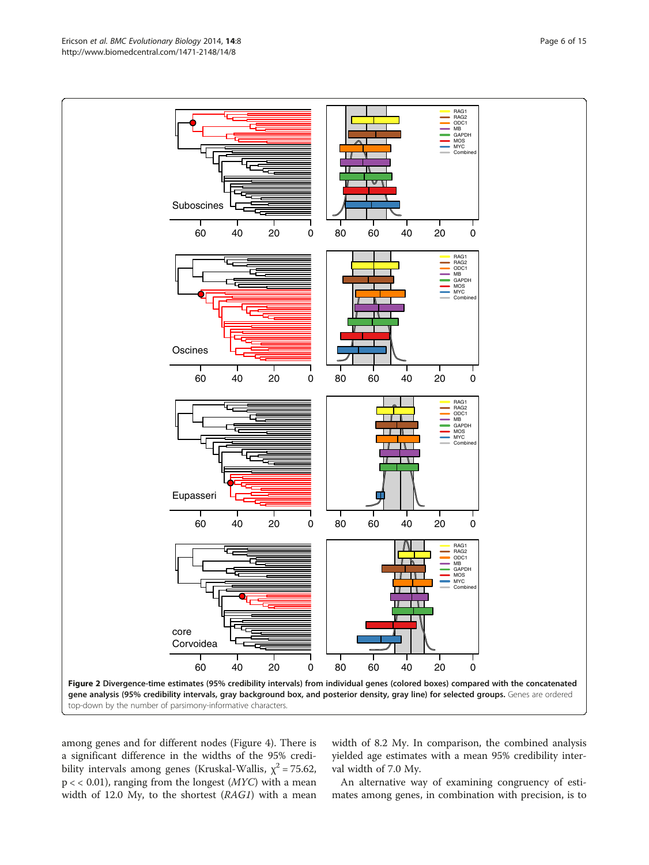among genes and for different nodes (Figure [4](#page-7-0)). There is a significant difference in the widths of the 95% credibility intervals among genes (Kruskal-Wallis,  $\chi^2$  = 75.62,  $p \ll 0.01$ ), ranging from the longest (*MYC*) with a mean width of 12.0 My, to the shortest  $(RAGI)$  with a mean

width of 8.2 My. In comparison, the combined analysis yielded age estimates with a mean 95% credibility interval width of 7.0 My.

An alternative way of examining congruency of estimates among genes, in combination with precision, is to

<span id="page-5-0"></span>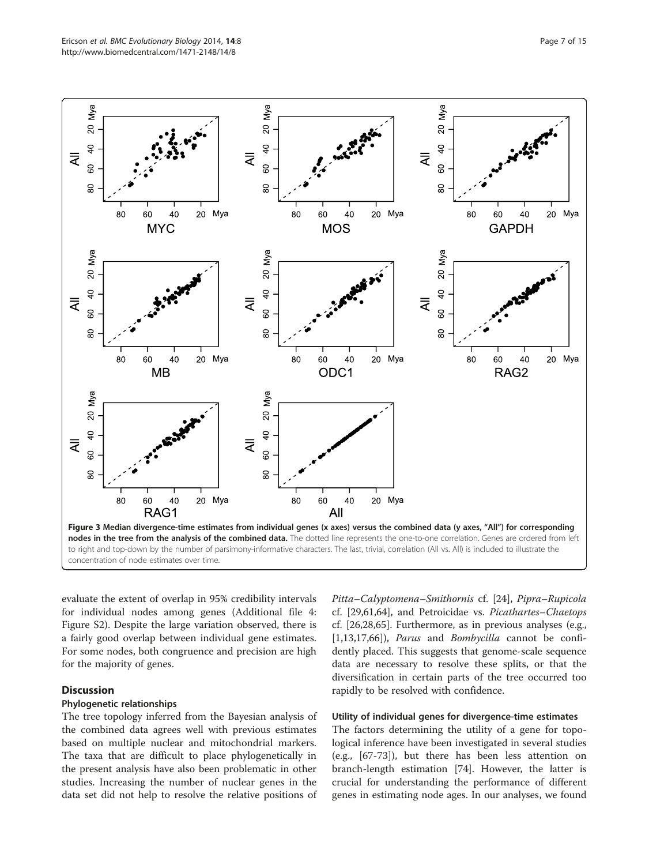<span id="page-6-0"></span>

evaluate the extent of overlap in 95% credibility intervals for individual nodes among genes (Additional file [4](#page-11-0): Figure S2). Despite the large variation observed, there is a fairly good overlap between individual gene estimates. For some nodes, both congruence and precision are high for the majority of genes.

# **Discussion**

# Phylogenetic relationships

The tree topology inferred from the Bayesian analysis of the combined data agrees well with previous estimates based on multiple nuclear and mitochondrial markers. The taxa that are difficult to place phylogenetically in the present analysis have also been problematic in other studies. Increasing the number of nuclear genes in the data set did not help to resolve the relative positions of Pitta–Calyptomena–Smithornis cf. [\[24](#page-12-0)], Pipra–Rupicola cf. [[29,](#page-12-0)[61,64](#page-13-0)], and Petroicidae vs. Picathartes–Chaetops cf. [[26,28,](#page-12-0)[65\]](#page-13-0). Furthermore, as in previous analyses (e.g., [[1,13,17,](#page-12-0)[66\]](#page-13-0)), Parus and Bombycilla cannot be confidently placed. This suggests that genome-scale sequence data are necessary to resolve these splits, or that the diversification in certain parts of the tree occurred too rapidly to be resolved with confidence.

# Utility of individual genes for divergence-time estimates

The factors determining the utility of a gene for topological inference have been investigated in several studies (e.g., [[67-73](#page-13-0)]), but there has been less attention on branch-length estimation [\[74](#page-13-0)]. However, the latter is crucial for understanding the performance of different genes in estimating node ages. In our analyses, we found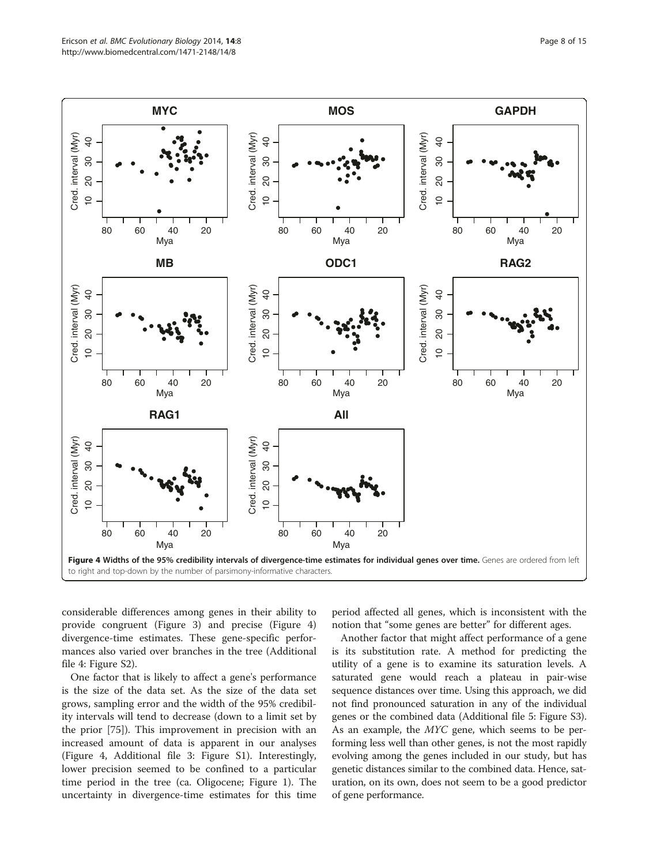<span id="page-7-0"></span>

considerable differences among genes in their ability to provide congruent (Figure [3\)](#page-6-0) and precise (Figure 4) divergence-time estimates. These gene-specific performances also varied over branches in the tree (Additional file [4:](#page-11-0) Figure S2).

One factor that is likely to affect a gene's performance is the size of the data set. As the size of the data set grows, sampling error and the width of the 95% credibility intervals will tend to decrease (down to a limit set by the prior [\[75](#page-13-0)]). This improvement in precision with an increased amount of data is apparent in our analyses (Figure 4, Additional file [3:](#page-11-0) Figure S1). Interestingly, lower precision seemed to be confined to a particular time period in the tree (ca. Oligocene; Figure [1](#page-4-0)). The uncertainty in divergence-time estimates for this time

period affected all genes, which is inconsistent with the notion that "some genes are better" for different ages.

Another factor that might affect performance of a gene is its substitution rate. A method for predicting the utility of a gene is to examine its saturation levels. A saturated gene would reach a plateau in pair-wise sequence distances over time. Using this approach, we did not find pronounced saturation in any of the individual genes or the combined data (Additional file [5:](#page-11-0) Figure S3). As an example, the MYC gene, which seems to be performing less well than other genes, is not the most rapidly evolving among the genes included in our study, but has genetic distances similar to the combined data. Hence, saturation, on its own, does not seem to be a good predictor of gene performance.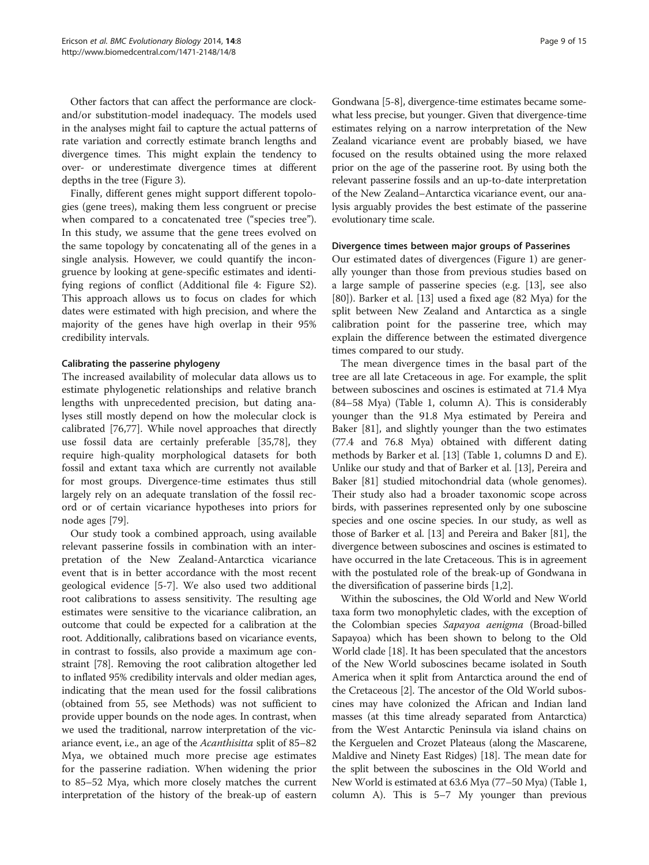Other factors that can affect the performance are clockand/or substitution-model inadequacy. The models used in the analyses might fail to capture the actual patterns of rate variation and correctly estimate branch lengths and divergence times. This might explain the tendency to over- or underestimate divergence times at different depths in the tree (Figure [3](#page-6-0)).

Finally, different genes might support different topologies (gene trees), making them less congruent or precise when compared to a concatenated tree ("species tree"). In this study, we assume that the gene trees evolved on the same topology by concatenating all of the genes in a single analysis. However, we could quantify the incongruence by looking at gene-specific estimates and identifying regions of conflict (Additional file [4:](#page-11-0) Figure S2). This approach allows us to focus on clades for which dates were estimated with high precision, and where the majority of the genes have high overlap in their 95% credibility intervals.

# Calibrating the passerine phylogeny

The increased availability of molecular data allows us to estimate phylogenetic relationships and relative branch lengths with unprecedented precision, but dating analyses still mostly depend on how the molecular clock is calibrated [[76,77\]](#page-13-0). While novel approaches that directly use fossil data are certainly preferable [\[35](#page-12-0)[,78](#page-13-0)], they require high-quality morphological datasets for both fossil and extant taxa which are currently not available for most groups. Divergence-time estimates thus still largely rely on an adequate translation of the fossil record or of certain vicariance hypotheses into priors for node ages [\[79\]](#page-13-0).

Our study took a combined approach, using available relevant passerine fossils in combination with an interpretation of the New Zealand-Antarctica vicariance event that is in better accordance with the most recent geological evidence [[5-7](#page-12-0)]. We also used two additional root calibrations to assess sensitivity. The resulting age estimates were sensitive to the vicariance calibration, an outcome that could be expected for a calibration at the root. Additionally, calibrations based on vicariance events, in contrast to fossils, also provide a maximum age constraint [\[78\]](#page-13-0). Removing the root calibration altogether led to inflated 95% credibility intervals and older median ages, indicating that the mean used for the fossil calibrations (obtained from 55, see [Methods\)](#page-1-0) was not sufficient to provide upper bounds on the node ages. In contrast, when we used the traditional, narrow interpretation of the vicariance event, i.e., an age of the Acanthisitta split of 85–82 Mya, we obtained much more precise age estimates for the passerine radiation. When widening the prior to 85–52 Mya, which more closely matches the current interpretation of the history of the break-up of eastern

Gondwana [[5-8\]](#page-12-0), divergence-time estimates became somewhat less precise, but younger. Given that divergence-time estimates relying on a narrow interpretation of the New Zealand vicariance event are probably biased, we have focused on the results obtained using the more relaxed prior on the age of the passerine root. By using both the relevant passerine fossils and an up-to-date interpretation of the New Zealand–Antarctica vicariance event, our analysis arguably provides the best estimate of the passerine evolutionary time scale.

#### Divergence times between major groups of Passerines

Our estimated dates of divergences (Figure [1](#page-4-0)) are generally younger than those from previous studies based on a large sample of passerine species (e.g. [\[13](#page-12-0)], see also [[80\]](#page-13-0)). Barker et al. [[13](#page-12-0)] used a fixed age (82 Mya) for the split between New Zealand and Antarctica as a single calibration point for the passerine tree, which may explain the difference between the estimated divergence times compared to our study.

The mean divergence times in the basal part of the tree are all late Cretaceous in age. For example, the split between suboscines and oscines is estimated at 71.4 Mya (84–58 Mya) (Table [1](#page-9-0), column A). This is considerably younger than the 91.8 Mya estimated by Pereira and Baker [\[81\]](#page-13-0), and slightly younger than the two estimates (77.4 and 76.8 Mya) obtained with different dating methods by Barker et al. [\[13](#page-12-0)] (Table [1,](#page-9-0) columns D and E). Unlike our study and that of Barker et al. [\[13](#page-12-0)], Pereira and Baker [[81\]](#page-13-0) studied mitochondrial data (whole genomes). Their study also had a broader taxonomic scope across birds, with passerines represented only by one suboscine species and one oscine species. In our study, as well as those of Barker et al. [[13](#page-12-0)] and Pereira and Baker [[81](#page-13-0)], the divergence between suboscines and oscines is estimated to have occurred in the late Cretaceous. This is in agreement with the postulated role of the break-up of Gondwana in the diversification of passerine birds [\[1,2\]](#page-12-0).

Within the suboscines, the Old World and New World taxa form two monophyletic clades, with the exception of the Colombian species Sapayoa aenigma (Broad-billed Sapayoa) which has been shown to belong to the Old World clade [\[18](#page-12-0)]. It has been speculated that the ancestors of the New World suboscines became isolated in South America when it split from Antarctica around the end of the Cretaceous [[2](#page-12-0)]. The ancestor of the Old World suboscines may have colonized the African and Indian land masses (at this time already separated from Antarctica) from the West Antarctic Peninsula via island chains on the Kerguelen and Crozet Plateaus (along the Mascarene, Maldive and Ninety East Ridges) [\[18\]](#page-12-0). The mean date for the split between the suboscines in the Old World and New World is estimated at 63.6 Mya (77–50 Mya) (Table [1](#page-9-0), column A). This is 5–7 My younger than previous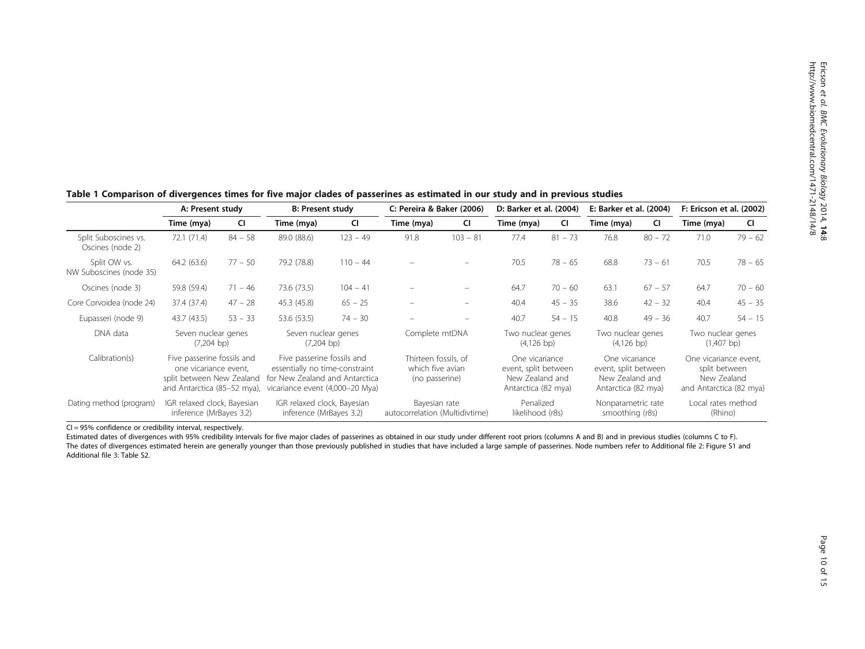|                                          | A: Present study                                                                                                |           | <b>B: Present study</b>                                                                                                           |            | C: Pereira & Baker (2006)                                  |                          | D: Barker et al. (2004)                                                          |           | E: Barker et al. (2004)                                                          |           | F: Ericson et al. (2002)                                                         |           |
|------------------------------------------|-----------------------------------------------------------------------------------------------------------------|-----------|-----------------------------------------------------------------------------------------------------------------------------------|------------|------------------------------------------------------------|--------------------------|----------------------------------------------------------------------------------|-----------|----------------------------------------------------------------------------------|-----------|----------------------------------------------------------------------------------|-----------|
|                                          | Time (mya)                                                                                                      | <b>CI</b> | Time (mya)                                                                                                                        | <b>CI</b>  | Time (mya)                                                 | <b>CI</b>                | Time (mya)                                                                       | <b>CI</b> | Time (mya)                                                                       | <b>CI</b> | Time (mya)                                                                       | <b>CI</b> |
| Split Suboscines vs.<br>Oscines (node 2) | 72.1(71.4)                                                                                                      | $84 - 58$ | 89.0 (88.6)                                                                                                                       | $123 - 49$ | 91.8                                                       | $103 - 81$               | 77.4                                                                             | $81 - 73$ | 76.8                                                                             | $80 - 72$ | 71.0                                                                             | $79 - 62$ |
| Split OW vs.<br>NW Suboscines (node 35)  | 64.2 (63.6)                                                                                                     | $77 - 50$ | 79.2 (78.8)                                                                                                                       | $110 - 44$ |                                                            |                          | 70.5                                                                             | $78 - 65$ | 68.8                                                                             | $73 - 61$ | 70.5                                                                             | $78 - 65$ |
| Oscines (node 3)                         | 59.8 (59.4)                                                                                                     | $71 - 46$ | 73.6 (73.5)                                                                                                                       | $104 - 41$ | $\overline{\phantom{0}}$                                   | $\overline{\phantom{0}}$ | 64.7                                                                             | $70 - 60$ | 63.1                                                                             | $67 - 57$ | 64.7                                                                             | $70 - 60$ |
| Core Corvoidea (node 24)                 | 37.4 (37.4)                                                                                                     | $47 - 28$ | 45.3 (45.8)                                                                                                                       | $65 - 25$  |                                                            |                          | 40.4                                                                             | $45 - 35$ | 38.6                                                                             | $42 - 32$ | 40.4                                                                             | $45 - 35$ |
| Eupasseri (node 9)                       | 43.7 (43.5)                                                                                                     | $53 - 33$ | 53.6 (53.5)                                                                                                                       | $74 - 30$  |                                                            |                          | 40.7                                                                             | $54 - 15$ | 40.8                                                                             | $49 - 36$ | 40.7                                                                             | $54 - 15$ |
| DNA data                                 | Seven nuclear genes<br>$(7,204$ bp)                                                                             |           | Seven nuclear genes<br>$(7,204$ bp)                                                                                               |            | Complete mtDNA                                             |                          | Two nuclear genes<br>$(4,126$ bp)                                                |           | Two nuclear genes<br>$(4,126$ bp)                                                |           | Two nuclear genes<br>$(1,407$ bp)                                                |           |
| Calibration(s)                           | Five passerine fossils and<br>one vicariance event,<br>split between New Zealand<br>and Antarctica (85-52 mya), |           | Five passerine fossils and<br>essentially no time-constraint<br>for New Zealand and Antarctica<br>vicariance event (4,000-20 Mya) |            | Thirteen fossils, of<br>which five avian<br>(no passerine) |                          | One vicariance<br>event, split between<br>New Zealand and<br>Antarctica (82 mya) |           | One vicariance<br>event, split between<br>New Zealand and<br>Antarctica (82 mya) |           | One vicariance event.<br>split between<br>New Zealand<br>and Antarctica (82 mya) |           |
| Dating method (program)                  | IGR relaxed clock, Bayesian<br>inference (MrBayes 3.2)                                                          |           | IGR relaxed clock, Bayesian<br>inference (MrBayes 3.2)                                                                            |            | Bayesian rate<br>autocorrelation (Multidivtime)            |                          | Penalized<br>likelihood (r8s)                                                    |           | Nonparametric rate<br>smoothing (r8s)                                            |           | Local rates method<br>(Rhino)                                                    |           |

#### <span id="page-9-0"></span>Table 1 Comparison of divergences times for five major clades of passerines as estimated in our study and in previous studies

CI = 95% confidence or credibility interval, respectively.

Estimated dates of divergences with 95% credibility intervals for five major clades of passerines as obtained in our study under different root priors (columns A and B) and in previous studies (columns C to F). The dates of divergences estimated herein are generally younger than those previously published in studies that have included a large sample of passerines. Node numbers refer to Additional file [2](#page-11-0): Figure S1 and Additional file [3:](#page-11-0) Table S2.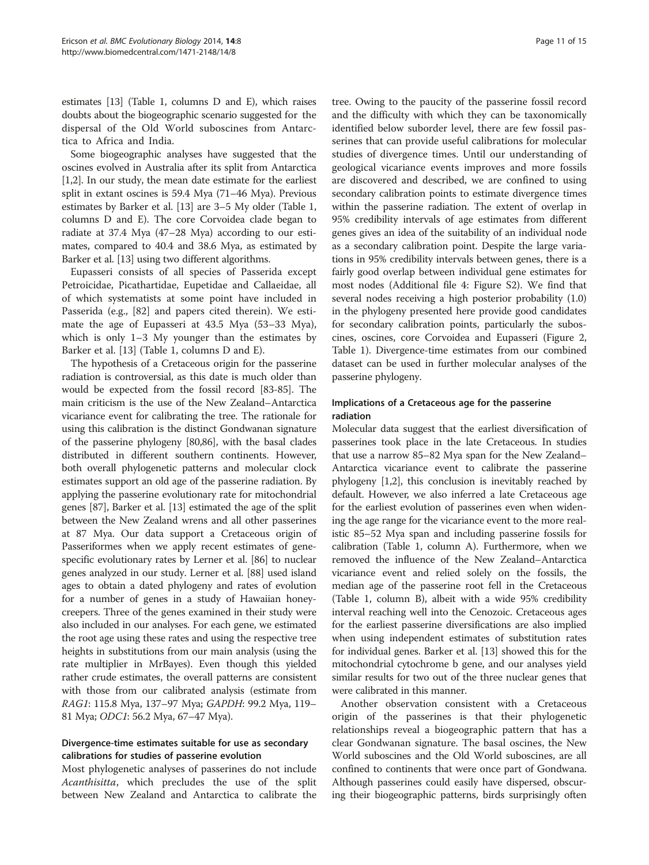estimates [[13](#page-12-0)] (Table [1](#page-9-0), columns D and E), which raises doubts about the biogeographic scenario suggested for the dispersal of the Old World suboscines from Antarctica to Africa and India.

Some biogeographic analyses have suggested that the oscines evolved in Australia after its split from Antarctica [[1,2](#page-12-0)]. In our study, the mean date estimate for the earliest split in extant oscines is 59.4 Mya (71–46 Mya). Previous estimates by Barker et al. [\[13\]](#page-12-0) are 3–5 My older (Table [1](#page-9-0), columns D and E). The core Corvoidea clade began to radiate at 37.4 Mya (47–28 Mya) according to our estimates, compared to 40.4 and 38.6 Mya, as estimated by Barker et al. [\[13](#page-12-0)] using two different algorithms.

Eupasseri consists of all species of Passerida except Petroicidae, Picathartidae, Eupetidae and Callaeidae, all of which systematists at some point have included in Passerida (e.g., [[82\]](#page-13-0) and papers cited therein). We estimate the age of Eupasseri at 43.5 Mya (53–33 Mya), which is only 1–3 My younger than the estimates by Barker et al. [\[13](#page-12-0)] (Table [1](#page-9-0), columns D and E).

The hypothesis of a Cretaceous origin for the passerine radiation is controversial, as this date is much older than would be expected from the fossil record [[83](#page-13-0)-[85\]](#page-13-0). The main criticism is the use of the New Zealand–Antarctica vicariance event for calibrating the tree. The rationale for using this calibration is the distinct Gondwanan signature of the passerine phylogeny [[80,86](#page-13-0)], with the basal clades distributed in different southern continents. However, both overall phylogenetic patterns and molecular clock estimates support an old age of the passerine radiation. By applying the passerine evolutionary rate for mitochondrial genes [\[87\]](#page-13-0), Barker et al. [[13](#page-12-0)] estimated the age of the split between the New Zealand wrens and all other passerines at 87 Mya. Our data support a Cretaceous origin of Passeriformes when we apply recent estimates of genespecific evolutionary rates by Lerner et al. [\[86](#page-13-0)] to nuclear genes analyzed in our study. Lerner et al. [[88](#page-13-0)] used island ages to obtain a dated phylogeny and rates of evolution for a number of genes in a study of Hawaiian honeycreepers. Three of the genes examined in their study were also included in our analyses. For each gene, we estimated the root age using these rates and using the respective tree heights in substitutions from our main analysis (using the rate multiplier in MrBayes). Even though this yielded rather crude estimates, the overall patterns are consistent with those from our calibrated analysis (estimate from RAG1: 115.8 Mya, 137–97 Mya; GAPDH: 99.2 Mya, 119– 81 Mya; ODC1: 56.2 Mya, 67–47 Mya).

# Divergence-time estimates suitable for use as secondary calibrations for studies of passerine evolution

Most phylogenetic analyses of passerines do not include Acanthisitta, which precludes the use of the split between New Zealand and Antarctica to calibrate the

tree. Owing to the paucity of the passerine fossil record and the difficulty with which they can be taxonomically identified below suborder level, there are few fossil passerines that can provide useful calibrations for molecular studies of divergence times. Until our understanding of geological vicariance events improves and more fossils are discovered and described, we are confined to using secondary calibration points to estimate divergence times within the passerine radiation. The extent of overlap in 95% credibility intervals of age estimates from different genes gives an idea of the suitability of an individual node as a secondary calibration point. Despite the large variations in 95% credibility intervals between genes, there is a fairly good overlap between individual gene estimates for most nodes (Additional file [4](#page-11-0): Figure S2). We find that several nodes receiving a high posterior probability (1.0)

in the phylogeny presented here provide good candidates for secondary calibration points, particularly the suboscines, oscines, core Corvoidea and Eupasseri (Figure [2](#page-5-0), Table [1\)](#page-9-0). Divergence-time estimates from our combined dataset can be used in further molecular analyses of the passerine phylogeny.

# Implications of a Cretaceous age for the passerine radiation

Molecular data suggest that the earliest diversification of passerines took place in the late Cretaceous. In studies that use a narrow 85–82 Mya span for the New Zealand– Antarctica vicariance event to calibrate the passerine phylogeny [[1,2\]](#page-12-0), this conclusion is inevitably reached by default. However, we also inferred a late Cretaceous age for the earliest evolution of passerines even when widening the age range for the vicariance event to the more realistic 85–52 Mya span and including passerine fossils for calibration (Table [1,](#page-9-0) column A). Furthermore, when we removed the influence of the New Zealand–Antarctica vicariance event and relied solely on the fossils, the median age of the passerine root fell in the Cretaceous (Table [1](#page-9-0), column B), albeit with a wide 95% credibility interval reaching well into the Cenozoic. Cretaceous ages for the earliest passerine diversifications are also implied when using independent estimates of substitution rates for individual genes. Barker et al. [[13](#page-12-0)] showed this for the mitochondrial cytochrome b gene, and our analyses yield similar results for two out of the three nuclear genes that were calibrated in this manner.

Another observation consistent with a Cretaceous origin of the passerines is that their phylogenetic relationships reveal a biogeographic pattern that has a clear Gondwanan signature. The basal oscines, the New World suboscines and the Old World suboscines, are all confined to continents that were once part of Gondwana. Although passerines could easily have dispersed, obscuring their biogeographic patterns, birds surprisingly often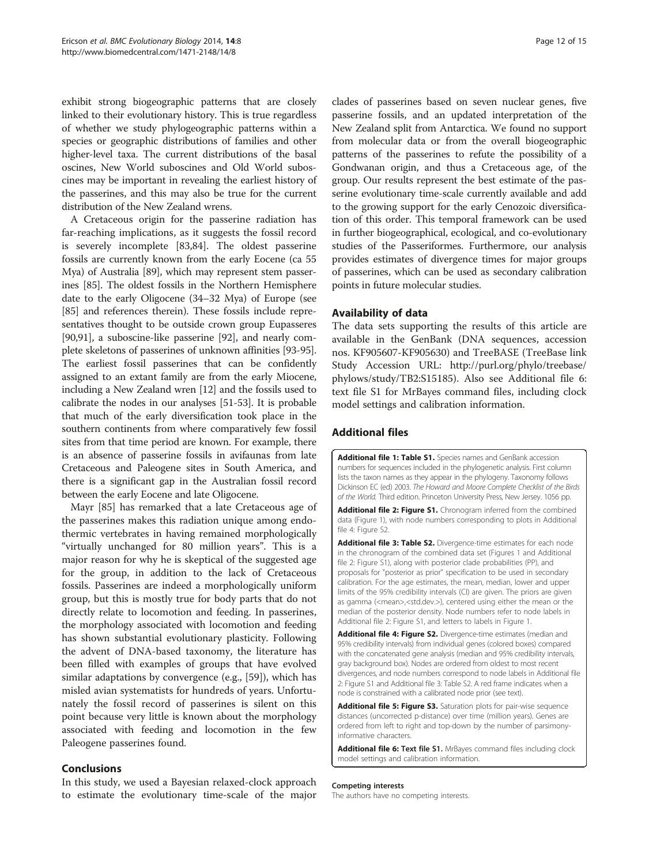<span id="page-11-0"></span>exhibit strong biogeographic patterns that are closely linked to their evolutionary history. This is true regardless of whether we study phylogeographic patterns within a species or geographic distributions of families and other higher-level taxa. The current distributions of the basal oscines, New World suboscines and Old World suboscines may be important in revealing the earliest history of the passerines, and this may also be true for the current distribution of the New Zealand wrens.

A Cretaceous origin for the passerine radiation has far-reaching implications, as it suggests the fossil record is severely incomplete [[83](#page-13-0),[84](#page-13-0)]. The oldest passerine fossils are currently known from the early Eocene (ca 55 Mya) of Australia [\[89\]](#page-13-0), which may represent stem passerines [\[85](#page-13-0)]. The oldest fossils in the Northern Hemisphere date to the early Oligocene (34–32 Mya) of Europe (see [[85](#page-13-0)] and references therein). These fossils include representatives thought to be outside crown group Eupasseres [[90,91](#page-13-0)], a suboscine-like passerine [[92](#page-14-0)], and nearly complete skeletons of passerines of unknown affinities [[93](#page-14-0)-[95](#page-14-0)]. The earliest fossil passerines that can be confidently assigned to an extant family are from the early Miocene, including a New Zealand wren [[12\]](#page-12-0) and the fossils used to calibrate the nodes in our analyses [[51-53\]](#page-13-0). It is probable that much of the early diversification took place in the southern continents from where comparatively few fossil sites from that time period are known. For example, there is an absence of passerine fossils in avifaunas from late Cretaceous and Paleogene sites in South America, and there is a significant gap in the Australian fossil record between the early Eocene and late Oligocene.

Mayr [\[85\]](#page-13-0) has remarked that a late Cretaceous age of the passerines makes this radiation unique among endothermic vertebrates in having remained morphologically "virtually unchanged for 80 million years". This is a major reason for why he is skeptical of the suggested age for the group, in addition to the lack of Cretaceous fossils. Passerines are indeed a morphologically uniform group, but this is mostly true for body parts that do not directly relate to locomotion and feeding. In passerines, the morphology associated with locomotion and feeding has shown substantial evolutionary plasticity. Following the advent of DNA-based taxonomy, the literature has been filled with examples of groups that have evolved similar adaptations by convergence (e.g., [\[59](#page-13-0)]), which has misled avian systematists for hundreds of years. Unfortunately the fossil record of passerines is silent on this point because very little is known about the morphology associated with feeding and locomotion in the few Paleogene passerines found.

# Conclusions

In this study, we used a Bayesian relaxed-clock approach to estimate the evolutionary time-scale of the major

clades of passerines based on seven nuclear genes, five passerine fossils, and an updated interpretation of the New Zealand split from Antarctica. We found no support from molecular data or from the overall biogeographic patterns of the passerines to refute the possibility of a Gondwanan origin, and thus a Cretaceous age, of the group. Our results represent the best estimate of the passerine evolutionary time-scale currently available and add to the growing support for the early Cenozoic diversification of this order. This temporal framework can be used in further biogeographical, ecological, and co-evolutionary studies of the Passeriformes. Furthermore, our analysis provides estimates of divergence times for major groups of passerines, which can be used as secondary calibration points in future molecular studies.

# Availability of data

The data sets supporting the results of this article are available in the GenBank (DNA sequences, accession nos. KF905607-KF905630) and TreeBASE (TreeBase link Study Accession URL: [http://purl.org/phylo/treebase/](http://purl.org/phylo/treebase/phylows/study/TB2:S15185) [phylows/study/TB2:S15185\)](http://purl.org/phylo/treebase/phylows/study/TB2:S15185). Also see Additional file 6: text file S1 for MrBayes command files, including clock model settings and calibration information.

# Additional files

[Additional file 1: Table S1.](http://www.biomedcentral.com/content/supplementary/1471-2148-14-8-S1.xls) Species names and GenBank accession numbers for sequences included in the phylogenetic analysis. First column lists the taxon names as they appear in the phylogeny. Taxonomy follows Dickinson EC (ed) 2003. The Howard and Moore Complete Checklist of the Birds of the World. Third edition. Princeton University Press, New Jersey. 1056 pp.

[Additional file 3: Table S2.](http://www.biomedcentral.com/content/supplementary/1471-2148-14-8-S3.xlsx) Divergence-time estimates for each node in the chronogram of the combined data set (Figures 1 and Additional file 2: Figure S1), along with posterior clade probabilities (PP), and proposals for "posterior as prior" specification to be used in secondary calibration. For the age estimates, the mean, median, lower and upper limits of the 95% credibility intervals (CI) are given. The priors are given as gamma (<mean>,<std.dev.>), centered using either the mean or the median of the posterior density. Node numbers refer to node labels in Additional file 2: Figure S1, and letters to labels in Figure 1.

[Additional file 4: Figure S2.](http://www.biomedcentral.com/content/supplementary/1471-2148-14-8-S4.pdf) Divergence-time estimates (median and 95% credibility intervals) from individual genes (colored boxes) compared with the concatenated gene analysis (median and 95% credibility intervals, gray background box). Nodes are ordered from oldest to most recent divergences, and node numbers correspond to node labels in Additional file 2: Figure S1 and Additional file 3: Table S2. A red frame indicates when a node is constrained with a calibrated node prior (see text).

[Additional file 5: Figure S3.](http://www.biomedcentral.com/content/supplementary/1471-2148-14-8-S5.pdf) Saturation plots for pair-wise sequence distances (uncorrected p-distance) over time (million years). Genes are ordered from left to right and top-down by the number of parsimonyinformative characters.

[Additional file 6:](http://www.biomedcentral.com/content/supplementary/1471-2148-14-8-S6.docx) Text file S1. MrBayes command files including clock model settings and calibration information.

#### Competing interests

The authors have no competing interests.

[Additional file 2: Figure S1.](http://www.biomedcentral.com/content/supplementary/1471-2148-14-8-S2.pdf) Chronogram inferred from the combined data (Figure [1\)](#page-4-0), with node numbers corresponding to plots in Additional file 4: Figure S2.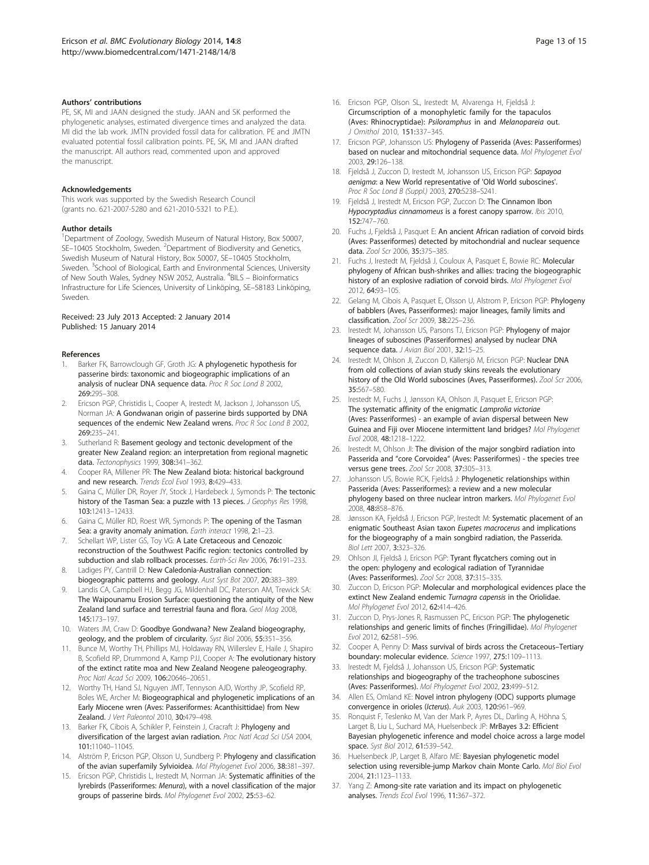#### <span id="page-12-0"></span>Authors' contributions

PE, SK, MI and JAAN designed the study. JAAN and SK performed the phylogenetic analyses, estimated divergence times and analyzed the data. MI did the lab work. JMTN provided fossil data for calibration. PE and JMTN evaluated potential fossil calibration points. PE, SK, MI and JAAN drafted the manuscript. All authors read, commented upon and approved the manuscript.

#### Acknowledgements

This work was supported by the Swedish Research Council (grants no. 621-2007-5280 and 621-2010-5321 to P.E.).

#### Author details

<sup>1</sup>Department of Zoology, Swedish Museum of Natural History, Box 50007, SE-10405 Stockholm, Sweden. <sup>2</sup>Department of Biodiversity and Genetics, Swedish Museum of Natural History, Box 50007, SE–10405 Stockholm, Sweden. <sup>3</sup>School of Biological, Earth and Environmental Sciences, University of New South Wales, Sydney NSW 2052, Australia. <sup>4</sup>BILS – Bioinformatics Infrastructure for Life Sciences, University of Linköping, SE–58183 Linköping, Sweden.

#### Received: 23 July 2013 Accepted: 2 January 2014 Published: 15 January 2014

#### References

- 1. Barker FK, Barrowclough GF, Groth JG: A phylogenetic hypothesis for passerine birds: taxonomic and biogeographic implications of an analysis of nuclear DNA sequence data. Proc R Soc Lond B 2002, 269:295–308.
- 2. Ericson PGP, Christidis L, Cooper A, Irestedt M, Jackson J, Johansson US, Norman JA: A Gondwanan origin of passerine birds supported by DNA sequences of the endemic New Zealand wrens. Proc R Soc Lond B 2002, 269:235–241.
- 3. Sutherland R: Basement geology and tectonic development of the greater New Zealand region: an interpretation from regional magnetic data. Tectonophysics 1999, 308:341–362.
- 4. Cooper RA, Millener PR: The New Zealand biota: historical background and new research. Trends Ecol Evol 1993, 8:429–433.
- 5. Gaina C, Müller DR, Royer JY, Stock J, Hardebeck J, Symonds P: The tectonic history of the Tasman Sea: a puzzle with 13 pieces. J Geophys Res 1998, 103:12413–12433.
- 6. Gaina C, Müller RD, Roest WR, Symonds P: The opening of the Tasman Sea: a gravity anomaly animation. Earth interact 1998, 2:1-23.
- 7. Schellart WP, Lister GS, Toy VG: A Late Cretaceous and Cenozoic reconstruction of the Southwest Pacific region: tectonics controlled by subduction and slab rollback processes. Earth-Sci Rev 2006, 76:191–233.
- Ladiges PY, Cantrill D: New Caledonia-Australian connection: biogeographic patterns and geology. Aust Syst Bot 2007, 20:383–389.
- 9. Landis CA, Campbell HJ, Begg JG, Mildenhall DC, Paterson AM, Trewick SA: The Waipounamu Erosion Surface: questioning the antiquity of the New Zealand land surface and terrestrial fauna and flora. Geol Mag 2008, 145:173–197.
- 10. Waters JM, Craw D: Goodbye Gondwana? New Zealand biogeography, geology, and the problem of circularity. Syst Biol 2006, 55:351–356.
- 11. Bunce M, Worthy TH, Phillips MJ, Holdaway RN, Willerslev E, Haile J, Shapiro B, Scofield RP, Drummond A, Kamp PJJ, Cooper A: The evolutionary history of the extinct ratite moa and New Zealand Neogene paleogeography. Proc Natl Acad Sci 2009, 106:20646–20651.
- 12. Worthy TH, Hand SJ, Nguyen JMT, Tennyson AJD, Worthy JP, Scofield RP, Boles WE, Archer M: Biogeographical and phylogenetic implications of an Early Miocene wren (Aves: Passeriformes: Acanthisittidae) from New Zealand. J Vert Paleontol 2010, 30:479-498.
- 13. Barker FK, Cibois A, Schikler P, Feinstein J, Cracraft J: Phylogeny and diversification of the largest avian radiation. Proc Natl Acad Sci USA 2004, 101:11040–11045.
- 14. Alström P, Ericson PGP, Olsson U, Sundberg P: Phylogeny and classification of the avian superfamily Sylvioidea. Mol Phylogenet Evol 2006, 38:381–397.
- 15. Ericson PGP, Christidis L, Irestedt M, Norman JA: Systematic affinities of the lyrebirds (Passeriformes: Menura), with a novel classification of the major groups of passerine birds. Mol Phylogenet Evol 2002, 25:53–62.
- 16. Ericson PGP, Olson SL, Irestedt M, Alvarenga H, Fjeldså J: Circumscription of a monophyletic family for the tapaculos (Aves: Rhinocryptidae): Psiloramphus in and Melanopareia out. J Ornithol 2010, 151:337–345.
- 17. Ericson PGP, Johansson US: Phylogeny of Passerida (Aves: Passeriformes) based on nuclear and mitochondrial sequence data. Mol Phylogenet Evol 2003, 29:126–138.
- 18. Fjeldså J, Zuccon D, Irestedt M, Johansson US, Ericson PGP: Sapayoa aenigma: a New World representative of 'Old World suboscines'. Proc R Soc Lond B (Suppl.) 2003, 270:S238–S241.
- 19. Fjeldså J, Irestedt M, Ericson PGP, Zuccon D: The Cinnamon Ibon Hypocryptadius cinnamomeus is a forest canopy sparrow. Ibis 2010, 152:747–760.
- 20. Fuchs J, Fjeldså J, Pasquet E: An ancient African radiation of corvoid birds (Aves: Passeriformes) detected by mitochondrial and nuclear sequence data. Zool Scr 2006, 35:375–385.
- 21. Fuchs J, Irestedt M, Fjeldså J, Couloux A, Pasquet E, Bowie RC: Molecular phylogeny of African bush-shrikes and allies: tracing the biogeographic history of an explosive radiation of corvoid birds. Mol Phylogenet Evol 2012, 64:93–105.
- 22. Gelang M, Cibois A, Pasquet E, Olsson U, Alstrom P, Ericson PGP: Phylogeny of babblers (Aves, Passeriformes): major lineages, family limits and classification. Zool Scr 2009, 38:225–236.
- 23. Irestedt M, Johansson US, Parsons TJ, Ericson PGP: Phylogeny of major lineages of suboscines (Passeriformes) analysed by nuclear DNA sequence data. J Avian Biol 2001, 32:15-25.
- 24. Irestedt M, Ohlson JI, Zuccon D, Källersjö M, Ericson PGP: Nuclear DNA from old collections of avian study skins reveals the evolutionary history of the Old World suboscines (Aves, Passeriformes). Zool Scr 2006, 35:567–580.
- 25. Irestedt M, Fuchs J, Jønsson KA, Ohlson JI, Pasquet E, Ericson PGP: The systematic affinity of the enigmatic Lamprolia victoriae (Aves: Passeriformes) - an example of avian dispersal between New Guinea and Fiji over Miocene intermittent land bridges? Mol Phylogenet Evol 2008, 48:1218–1222.
- 26. Irestedt M, Ohlson JI: The division of the major songbird radiation into Passerida and "core Corvoidea" (Aves: Passeriformes) - the species tree versus gene trees. Zool Scr 2008, 37:305–313.
- 27. Johansson US, Bowie RCK, Fjeldså J: Phylogenetic relationships within Passerida (Aves: Passeriformes): a review and a new molecular phylogeny based on three nuclear intron markers. Mol Phylogenet Evol 2008, 48:858–876.
- 28. Jønsson KA, Fjeldså J, Ericson PGP, Irestedt M: Systematic placement of an enigmatic Southeast Asian taxon Eupetes macrocerus and implications for the biogeography of a main songbird radiation, the Passerida. Biol Lett 2007, 3:323–326.
- 29. Ohlson Jl, Fjeldså J, Ericson PGP: Tyrant flycatchers coming out in the open: phylogeny and ecological radiation of Tyrannidae (Aves: Passeriformes). Zool Scr 2008, 37:315–335.
- 30. Zuccon D, Ericson PGP: Molecular and morphological evidences place the extinct New Zealand endemic Turnagra capensis in the Oriolidae. Mol Phylogenet Evol 2012, 62:414–426.
- 31. Zuccon D, Prys-Jones R, Rasmussen PC, Ericson PGP: The phylogenetic relationships and generic limits of finches (Fringillidae). Mol Phylogenet Evol 2012, 62:581–596.
- 32. Cooper A, Penny D: Mass survival of birds across the Cretaceous–Tertiary boundary: molecular evidence. Science 1997, 275:1109–1113.
- 33. Irestedt M, Fjeldså J, Johansson US, Ericson PGP: Systematic relationships and biogeography of the tracheophone suboscines (Aves: Passeriformes). Mol Phylogenet Evol 2002, 23:499–512.
- 34. Allen ES, Omland KE: Novel intron phylogeny (ODC) supports plumage convergence in orioles (Icterus). Auk 2003, 120:961–969.
- 35. Ronquist F, Teslenko M, Van der Mark P, Ayres DL, Darling A, Höhna S, Larget B, Liu L, Suchard MA, Huelsenbeck JP: MrBayes 3.2: Efficient Bayesian phylogenetic inference and model choice across a large model space. Syst Biol 2012, 61:539-542.
- 36. Huelsenbeck JP, Larget B, Alfaro ME: Bayesian phylogenetic model selection using reversible-jump Markov chain Monte Carlo. Mol Biol Evol 2004, 21:1123–1133.
- 37. Yang Z: Among-site rate variation and its impact on phylogenetic analyses. Trends Ecol Evol 1996, 11:367–372.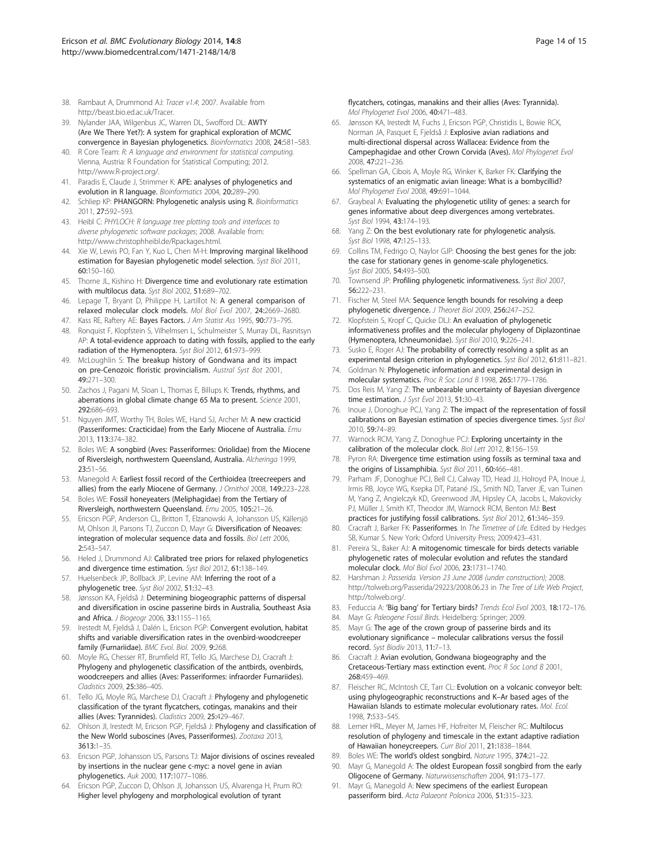- <span id="page-13-0"></span>38. Rambaut A, Drummond AJ: Tracer v1.4; 2007. Available from [http://beast.bio.ed.ac.uk/Tracer.](http://beast.bio.ed.ac.uk/Tracer)
- 39. Nylander JAA, Wilgenbus JC, Warren DL, Swofford DL: AWTY (Are We There Yet?): A system for graphical exploration of MCMC convergence in Bayesian phylogenetics. Bioinformatics 2008, 24:581–583.
- 40. R Core Team: R: A language and environment for statistical computing. Vienna, Austria: R Foundation for Statistical Computing; 2012. [http://www.R-project.org/](http://www.r-project.org/).
- 41. Paradis E, Claude J, Strimmer K: APE: analyses of phylogenetics and evolution in R language. Bioinformatics 2004, 20:289–290.
- 42. Schliep KP: PHANGORN: Phylogenetic analysis using R. Bioinformatics 2011, 27:592–593.
- 43. Heibl C: PHYLOCH: R language tree plotting tools and interfaces to diverse phylogenetic software packages; 2008. Available from: [http://www.christophheibl.de/Rpackages.html.](http://www.christophheibl.de/Rpackages.html)
- 44. Xie W, Lewis PO, Fan Y, Kuo L, Chen M-H: Improving marginal likelihood estimation for Bayesian phylogenetic model selection. Syst Biol 2011, 60:150–160.
- 45. Thorne JL, Kishino H: Divergence time and evolutionary rate estimation with multilocus data. Syst Biol 2002, 51:689–702.
- 46. Lepage T, Bryant D, Philippe H, Lartillot N: A general comparison of relaxed molecular clock models. Mol Biol Evol 2007, 24:2669–2680.
- 47. Kass RE, Raftery AE: Bayes Factors. J Am Statist Ass 1995, 90:773-795.
- 48. Ronquist F, Klopfstein S, Vilhelmsen L, Schulmeister S, Murray DL, Rasnitsyn AP: A total-evidence approach to dating with fossils, applied to the early radiation of the Hymenoptera. Syst Biol 2012, 61:973–999.
- 49. McLoughlin S: The breakup history of Gondwana and its impact on pre-Cenozoic floristic provincialism. Austral Syst Bot 2001, 49:271–300.
- 50. Zachos J, Pagani M, Sloan L, Thomas E, Billups K: Trends, rhythms, and aberrations in global climate change 65 Ma to present. Science 2001, 292:686–693.
- 51. Nguyen JMT, Worthy TH, Boles WE, Hand SJ, Archer M: A new cracticid (Passeriformes: Cracticidae) from the Early Miocene of Australia. Emu 2013, 113:374–382.
- 52. Boles WE: A songbird (Aves: Passeriformes: Oriolidae) from the Miocene of Riversleigh, northwestern Queensland, Australia. Alcheringa 1999, 23:51–56.
- 53. Manegold A: Earliest fossil record of the Certhioidea (treecreepers and allies) from the early Miocene of Germany. J Ornithol 2008, 149:223-228.
- 54. Boles WE: Fossil honeyeaters (Meliphagidae) from the Tertiary of Riversleigh, northwestern Queensland. Emu 2005, 105:21–26.
- 55. Ericson PGP, Anderson CL, Britton T, Elzanowski A, Johansson US, Källersjö M, Ohlson JI, Parsons TJ, Zuccon D, Mayr G: Diversification of Neoaves: integration of molecular sequence data and fossils. Biol Lett 2006, 2:543–547.
- 56. Heled J, Drummond AJ: Calibrated tree priors for relaxed phylogenetics and divergence time estimation. Syst Biol 2012, 61:138–149.
- 57. Huelsenbeck JP, Bollback JP, Levine AM: Inferring the root of a phylogenetic tree. Syst Biol 2002, 51:32–43.
- 58. Jønsson KA, Fjeldså J: Determining biogeographic patterns of dispersal and diversification in oscine passerine birds in Australia, Southeast Asia and Africa. J Biogeogr 2006, 33:1155-1165.
- 59. Irestedt M, Fjeldså J, Dalén L, Ericson PGP: Convergent evolution, habitat shifts and variable diversification rates in the ovenbird-woodcreeper family (Furnariidae). BMC Evol. Biol. 2009, 9:268.
- 60. Moyle RG, Chesser RT, Brumfield RT, Tello JG, Marchese DJ, Cracraft J: Phylogeny and phylogenetic classification of the antbirds, ovenbirds, woodcreepers and allies (Aves: Passeriformes: infraorder Furnariides). Cladistics 2009, 25:386–405.
- 61. Tello JG, Moyle RG, Marchese DJ, Cracraft J: Phylogeny and phylogenetic classification of the tyrant flycatchers, cotingas, manakins and their allies (Aves: Tyrannides). Cladistics 2009, 25:429–467.
- 62. Ohlson JI, Irestedt M, Ericson PGP, Fjeldså J: Phylogeny and classification of the New World suboscines (Aves, Passeriformes). Zootaxa 2013, 3613:1–35.
- 63. Ericson PGP, Johansson US, Parsons TJ: Major divisions of oscines revealed by insertions in the nuclear gene c-myc: a novel gene in avian phylogenetics. Auk 2000, 117:1077–1086.
- 64. Ericson PGP, Zuccon D, Ohlson JI, Johansson US, Alvarenga H, Prum RO: Higher level phylogeny and morphological evolution of tyrant

flycatchers, cotingas, manakins and their allies (Aves: Tyrannida). Mol Phylogenet Evol 2006, 40:471–483.

- 65. Jønsson KA, Irestedt M, Fuchs J, Ericson PGP, Christidis L, Bowie RCK, Norman JA, Pasquet E, Fieldså J: Explosive avian radiations and multi-directional dispersal across Wallacea: Evidence from the Campephagidae and other Crown Corvida (Aves). Mol Phylogenet Evol 2008, 47:221–236.
- 66. Spellman GA, Cibois A, Moyle RG, Winker K, Barker FK: Clarifying the systematics of an enigmatic avian lineage: What is a bombycillid? Mol Phylogenet Evol 2008, 49:691–1044.
- 67. Graybeal A: Evaluating the phylogenetic utility of genes: a search for genes informative about deep divergences among vertebrates. Syst Biol 1994, 43:174-193.
- 68. Yang Z: On the best evolutionary rate for phylogenetic analysis. Syst Biol 1998, 47:125–133.
- 69. Collins TM, Fedrigo O, Naylor GJP: Choosing the best genes for the job: the case for stationary genes in genome-scale phylogenetics. Syst Biol 2005. 54:493-500
- 70. Townsend JP: Profiling phylogenetic informativeness. Syst Biol 2007, 56:222–231.
- 71. Fischer M, Steel MA: Sequence length bounds for resolving a deep phylogenetic divergence. J Theoret Biol 2009, 256:247–252.
- 72. Klopfstein S, Kropf C, Quicke DLJ: An evaluation of phylogenetic informativeness profiles and the molecular phylogeny of Diplazontinae (Hymenoptera, Ichneumonidae). Syst Biol 2010, 9:226–241.
- 73. Susko E, Roger AJ: The probability of correctly resolving a split as an experimental design criterion in phylogenetics. Syst Biol 2012, 61:811–821.
- 74. Goldman N: Phylogenetic information and experimental design in molecular systematics. Proc R Soc Lond B 1998, 265:1779-1786.
- 75. Dos Reis M, Yang Z: The unbearable uncertainty of Bayesian divergence time estimation. J Syst Evol 2013, 51:30-43.
- 76. Inoue J, Donoghue PCJ, Yang Z: The impact of the representation of fossil calibrations on Bayesian estimation of species divergence times. Syst Biol 2010, 59:74–89.
- 77. Warnock RCM, Yang Z, Donoghue PCJ: Exploring uncertainty in the calibration of the molecular clock. Biol Lett 2012, 8:156–159.
- 78. Pyron RA: Divergence time estimation using fossils as terminal taxa and the origins of Lissamphibia. Syst Biol 2011, 60:466–481.
- 79. Parham JF, Donoghue PCJ, Bell CJ, Calway TD, Head JJ, Holroyd PA, Inoue J, Irmis RB, Joyce WG, Ksepka DT, Patané JSL, Smith ND, Tarver JE, van Tuinen M, Yang Z, Angielczyk KD, Greenwood JM, Hipsley CA, Jacobs L, Makovicky PJ, Müller J, Smith KT, Theodor JM, Warnock RCM, Benton MJ: Best practices for justifying fossil calibrations. Syst Biol 2012, 61:346–359.
- 80. Cracraft J, Barker FK: Passeriformes. In The Timetree of Life. Edited by Hedges SB, Kumar S. New York: Oxford University Press; 2009:423–431.
- 81. Pereira SL, Baker AJ: A mitogenomic timescale for birds detects variable phylogenetic rates of molecular evolution and refutes the standard molecular clock. Mol Biol Evol 2006, 23:1731–1740.
- 82. Harshman J: Passerida. Version 23 June 2008 (under construction); 2008. <http://tolweb.org/Passerida/29223/2008.06.23> in The Tree of Life Web Project, [http://tolweb.org/.](http://tolweb.org/)
- 83. Feduccia A: 'Big bang' for Tertiary birds? Trends Ecol Evol 2003, 18:172-176.
- 84. Mayr G: Paleogene Fossil Birds. Heidelberg: Springer; 2009.
- 85. Mayr G: The age of the crown group of passerine birds and its evolutionary significance – molecular calibrations versus the fossil record. Syst Biodiv 2013, 11:7–13.
- 86. Cracraft J: Avian evolution, Gondwana biogeography and the Cretaceous-Tertiary mass extinction event. Proc R Soc Lond B 2001, 268:459–469.
- 87. Fleischer RC, McIntosh CE, Tarr CL: Evolution on a volcanic conveyor belt: using phylogeographic reconstructions and K–Ar based ages of the Hawaiian Islands to estimate molecular evolutionary rates. Mol. Ecol. 1998, 7:533–545.
- 88. Lerner HRL, Meyer M, James HF, Hofreiter M, Fleischer RC: Multilocus resolution of phylogeny and timescale in the extant adaptive radiation of Hawaiian honeycreepers. Curr Biol 2011, 21:1838-1844.
- 89. Boles WE: The world's oldest songbird. Nature 1995, 374:21-22.
- 90. Mayr G, Manegold A: The oldest European fossil songbird from the early Oligocene of Germany. Naturwissenschaften 2004, 91:173–177.
- 91. Mayr G, Manegold A: New specimens of the earliest European passeriform bird. Acta Palaeont Polonica 2006, 51:315–323.